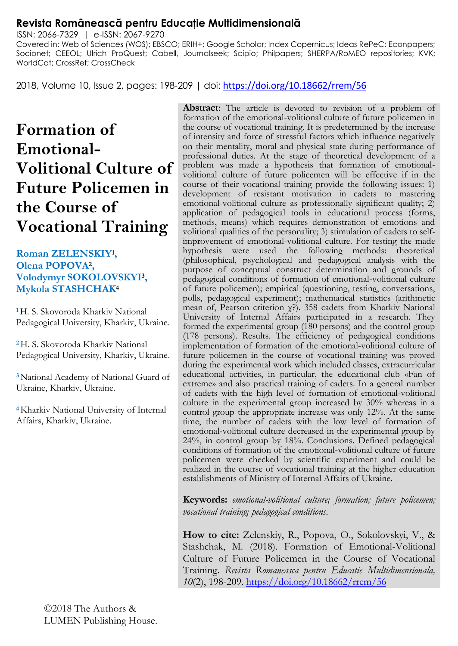# **Revista Românească pentru Educaţie Multidimensională**

ISSN: 2066-7329 | e-ISSN: 2067-9270 Covered in: Web of Sciences (WOS); EBSCO; ERIH+; Google Scholar; Index Copernicus; Ideas RePeC; Econpapers; Socionet; CEEOL; Ulrich ProQuest; Cabell, Journalseek; Scipio; Philpapers; SHERPA/RoMEO repositories; KVK; WorldCat; CrossRef; CrossCheck

2018, Volume 10, Issue 2, pages: 198-209 | doi: <https://doi.org/10.18662/rrem/56>

# **Formation of Emotional-Volitional Culture of Future Policemen in the Course of Vocational Training**

#### **Roman ZELENSKIY<sup>1</sup> , Olena POPOVA<sup>2</sup> , Volodymyr SOKOLOVSKYI<sup>3</sup> , Mykola STASHCHAK<sup>4</sup>**

**<sup>1</sup>**H. S. Skovoroda Kharkiv National Pedagogical University, Kharkiv, Ukraine.

**<sup>2</sup>**H. S. Skovoroda Kharkiv National Pedagogical University, Kharkiv, Ukraine.

**<sup>3</sup>**National Academy of National Guard of Ukraine, Kharkiv, Ukraine.

**<sup>4</sup>**Kharkiv National University of Internal Affairs, Kharkiv, Ukraine.

**Abstract**: The article is devoted to revision of a problem of formation of the emotional-volitional culture of future policemen in the course of vocational training. It is predetermined by the increase of intensity and force of stressful factors which influence negatively on their mentality, moral and physical state during performance of professional duties. At the stage of theoretical development of a problem was made a hypothesis that formation of emotionalvolitional culture of future policemen will be effective if in the course of their vocational training provide the following issues: 1) development of resistant motivation in cadets to mastering emotional-volitional culture as professionally significant quality; 2) application of pedagogical tools in educational process (forms, methods, means) which requires demonstration of emotions and volitional qualities of the personality; 3) stimulation of cadets to selfimprovement of emotional-volitional culture. For testing the made hypothesis were used the following methods: theoretical (philosophical, psychological and pedagogical analysis with the purpose of conceptual construct determination and grounds of pedagogical conditions of formation of emotional-volitional culture of future policemen); empirical (questioning, testing, conversations, polls, pedagogical experiment); mathematical statistics (arithmetic mean of, Pearson criterion χ?). 358 cadets from Kharkiv National University of Internal Affairs participated in a research. They formed the experimental group (180 persons) and the control group (178 persons). Results. The efficiency of pedagogical conditions implementation of formation of the emotional-volitional culture of future policemen in the course of vocational training was proved during the experimental work which included classes, extracurricular educational activities, in particular, the educational club «Fan of extreme» and also practical training of cadets. In a general number of cadets with the high level of formation of emotional-volitional culture in the experimental group increased by 30% whereas in a control group the appropriate increase was only 12%. At the same time, the number of cadets with the low level of formation of emotional-volitional culture decreased in the experimental group by 24%, in control group by 18%. Conclusions. Defined pedagogical conditions of formation of the emotional-volitional culture of future policemen were checked by scientific experiment and could be realized in the course of vocational training at the higher education establishments of Ministry of Internal Affairs of Ukraine.

**Keywords:** *emotional-volitional culture; formation; future policemen; vocational training; pedagogical conditions.*

**How to cite:** Zelenskiy, R., Popova, O., Sokolovskyi, V., & Stashchak, M. (2018). Formation of Emotional-Volitional Culture of Future Policemen in the Course of Vocational Training. *Revista Romaneasca pentru Educatie Multidimensionala, 10*(2), 198-209.<https://doi.org/10.18662/rrem/56>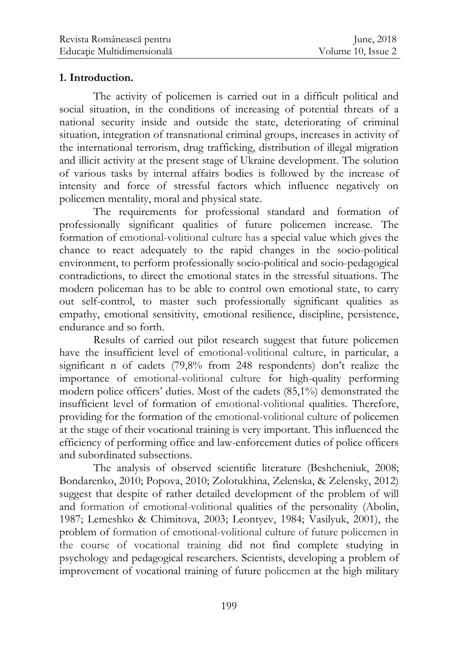## **1. Introduction.**

The activity of policemen is carried out in a difficult political and social situation, in the conditions of increasing of potential threats of a national security inside and outside the state, deteriorating of criminal situation, integration of transnational criminal groups, increases in activity of the international terrorism, drug trafficking, distribution of illegal migration and illicit activity at the present stage of Ukraine development. The solution of various tasks by internal affairs bodies is followed by the increase of intensity and force of stressful factors which influence negatively on policemen mentality, moral and physical state.

The requirements for professional standard and formation of professionally significant qualities of future policemen increase. The formation of emotional-volitional culture has a special value which gives the chance to react adequately to the rapid changes in the socio-political environment, to perform professionally socio-political and socio-pedagogical contradictions, to direct the emotional states in the stressful situations. The modern policeman has to be able to control own emotional state, to carry out self-control, to master such professionally significant qualities as empathy, emotional sensitivity, emotional resilience, discipline, persistence, endurance and so forth.

Results of carried out pilot research suggest that future policemen have the insufficient level of emotional-volitional culture, in particular, a significant n of cadets (79,8% from 248 respondents) don't realize the importance of emotional-volitional culture for high-quality performing modern police officers' duties. Most of the cadets (85,1%) demonstrated the insufficient level of formation of emotional-volitional qualities. Therefore, providing for the formation of the emotional-volitional culture of policemen at the stage of their vocational training is very important. This influenced the efficiency of performing office and law-enforcement duties of police officers and subordinated subsections.

The analysis of observed scientific literature (Beshcheniuk, 2008; Bondarenko, 2010; Popova, 2010; Zolotukhina, Zelenska, & Zelensky, 2012) suggest that despite of rather detailed development of the problem of will and formation of emotional-volitional qualities of the personality (Abolin, 1987; Lemeshko & Chimitova, 2003; Leontyev, 1984; Vasilyuk, 2001), the problem of formation of emotional-volitional culture of future policemen in the course of vocational training did not find complete studying in psychology and pedagogical researchers. Scientists, developing a problem of improvement of vocational training of future policemen at the high military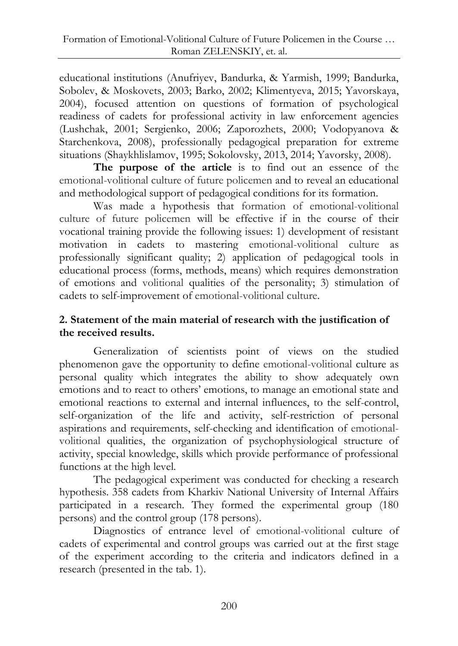educational institutions (Anufriyev, Bandurka, & Yarmish, 1999; Bandurka, Sobolev, & Moskovets, 2003; Barko, 2002; Klimentyeva, 2015; Yavorskaya, 2004), focused attention on questions of formation of psychological readiness of cadets for professional activity in law enforcement agencies (Lushchak, 2001; Sergienko, 2006; Zaporozhets, 2000; Vodopyanova & Starchenkova, 2008), professionally pedagogical preparation for extreme situations (Shaykhlislamov, 1995; Sokolovsky, 2013, 2014; Yavorsky, 2008).

**The purpose of the article** is to find out an essence of the emotional-volitional culture of future policemen and to reveal an educational and methodological support of pedagogical conditions for its formation.

Was made a hypothesis that formation of emotional-volitional culture of future policemen will be effective if in the course of their vocational training provide the following issues: 1) development of resistant motivation in cadets to mastering emotional-volitional culture as professionally significant quality; 2) application of pedagogical tools in educational process (forms, methods, means) which requires demonstration of emotions and volitional qualities of the personality; 3) stimulation of cadets to self-improvement of emotional-volitional culture.

# **2. Statement of the main material of research with the justification of the received results.**

Generalization of scientists point of views on the studied phenomenon gave the opportunity to define emotional-volitional culture as personal quality which integrates the ability to show adequately own emotions and to react to others' emotions, to manage an emotional state and emotional reactions to external and internal influences, to the self-control, self-organization of the life and activity, self-restriction of personal aspirations and requirements, self-checking and identification of emotionalvolitional qualities, the organization of psychophysiological structure of activity, special knowledge, skills which provide performance of professional functions at the high level.

The pedagogical experiment was conducted for checking a research hypothesis. 358 cadets from Kharkiv National University of Internal Affairs participated in a research. They formed the experimental group (180 persons) and the control group (178 persons).

Diagnostics of entrance level of emotional-volitional culture of cadets of experimental and control groups was carried out at the first stage of the experiment according to the criteria and indicators defined in a research (presented in the tab. 1).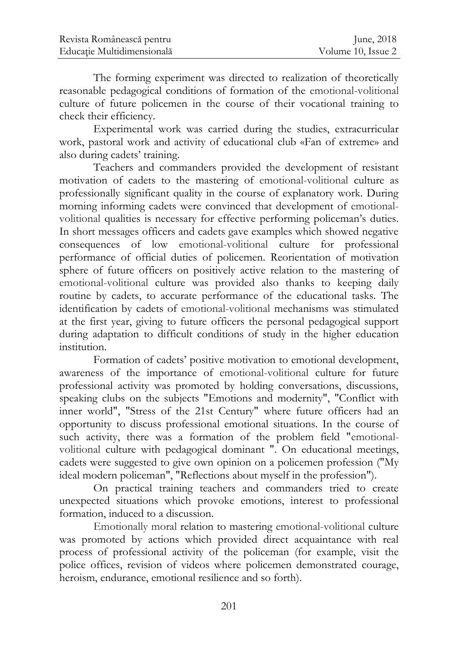The forming experiment was directed to realization of theoretically reasonable pedagogical conditions of formation of the emotional-volitional culture of future policemen in the course of their vocational training to check their efficiency.

Experimental work was carried during the studies, extracurricular work, pastoral work and activity of educational club «Fan of extreme» and also during cadets' training.

Teachers and commanders provided the development of resistant motivation of cadets to the mastering of emotional-volitional culture as professionally significant quality in the course of explanatory work. During morning informing cadets were convinced that development of emotionalvolitional qualities is necessary for effective performing policeman's duties. In short messages officers and cadets gave examples which showed negative consequences of low emotional-volitional culture for professional performance of official duties of policemen. Reorientation of motivation sphere of future officers on positively active relation to the mastering of emotional-volitional culture was provided also thanks to keeping daily routine by cadets, to accurate performance of the educational tasks. The identification by cadets of emotional-volitional mechanisms was stimulated at the first year, giving to future officers the personal pedagogical support during adaptation to difficult conditions of study in the higher education institution.

Formation of cadets' positive motivation to emotional development, awareness of the importance of emotional-volitional culture for future professional activity was promoted by holding conversations, discussions, speaking clubs on the subjects "Emotions and modernity", "Conflict with inner world", "Stress of the 21st Century" where future officers had an opportunity to discuss professional emotional situations. In the course of such activity, there was a formation of the problem field "emotionalvolitional culture with pedagogical dominant ". On educational meetings, cadets were suggested to give own opinion on a policemen profession ("My ideal modern policeman", "Reflections about myself in the profession").

On practical training teachers and commanders tried to create unexpected situations which provoke emotions, interest to professional formation, induced to a discussion.

Emotionally moral relation to mastering emotional-volitional culture was promoted by actions which provided direct acquaintance with real process of professional activity of the policeman (for example, visit the police offices, revision of videos where policemen demonstrated courage, heroism, endurance, emotional resilience and so forth).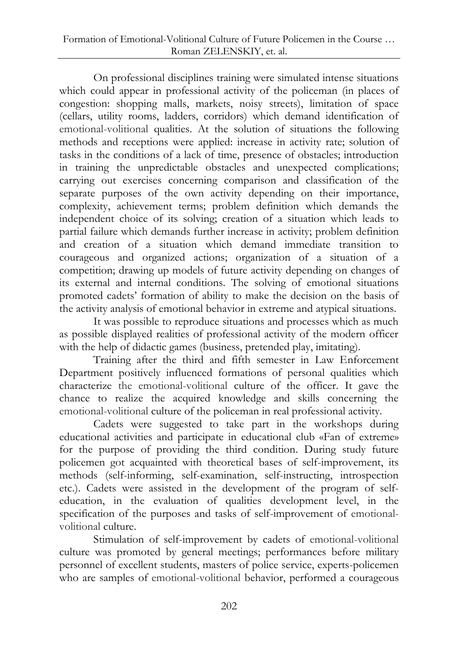On professional disciplines training were simulated intense situations which could appear in professional activity of the policeman (in places of congestion: shopping malls, markets, noisy streets), limitation of space (cellars, utility rooms, ladders, corridors) which demand identification of emotional-volitional qualities. At the solution of situations the following methods and receptions were applied: increase in activity rate; solution of tasks in the conditions of a lack of time, presence of obstacles; introduction in training the unpredictable obstacles and unexpected complications; carrying out exercises concerning comparison and classification of the separate purposes of the own activity depending on their importance, complexity, achievement terms; problem definition which demands the independent choice of its solving; creation of a situation which leads to partial failure which demands further increase in activity; problem definition and creation of a situation which demand immediate transition to courageous and organized actions; organization of a situation of a competition; drawing up models of future activity depending on changes of its external and internal conditions. The solving of emotional situations promoted cadets' formation of ability to make the decision on the basis of the activity analysis of emotional behavior in extreme and atypical situations.

It was possible to reproduce situations and processes which as much as possible displayed realities of professional activity of the modern officer with the help of didactic games (business, pretended play, imitating).

Training after the third and fifth semester in Law Enforcement Department positively influenced formations of personal qualities which characterize the emotional-volitional culture of the officer. It gave the chance to realize the acquired knowledge and skills concerning the emotional-volitional culture of the policeman in real professional activity.

Cadets were suggested to take part in the workshops during educational activities and participate in educational club «Fan of extreme» for the purpose of providing the third condition. During study future policemen got acquainted with theoretical bases of self-improvement, its methods (self-informing, self-examination, self-instructing, introspection etc.). Cadets were assisted in the development of the program of selfeducation, in the evaluation of qualities development level, in the specification of the purposes and tasks of self-improvement of emotionalvolitional culture.

Stimulation of self-improvement by cadets of emotional-volitional culture was promoted by general meetings; performances before military personnel of excellent students, masters of police service, experts-policemen who are samples of emotional-volitional behavior, performed a courageous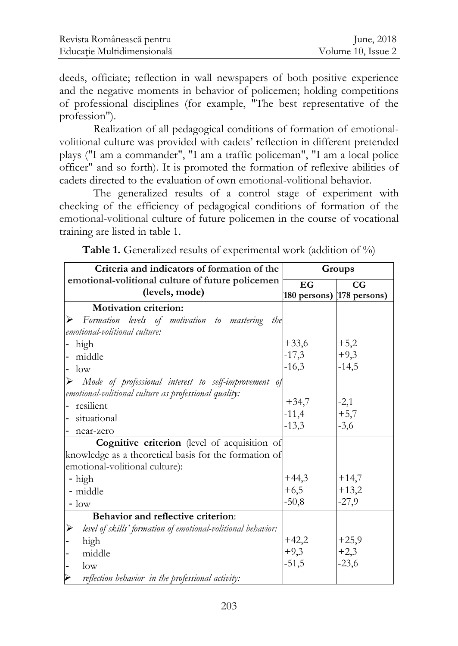deeds, officiate; reflection in wall newspapers of both positive experience and the negative moments in behavior of policemen; holding competitions of professional disciplines (for example, "The best representative of the profession").

Realization of all pedagogical conditions of formation of emotionalvolitional culture was provided with cadets' reflection in different pretended plays ("I am a commander", "I am a traffic policeman", "I am a local police officer" and so forth). It is promoted the formation of reflexive abilities of cadets directed to the evaluation of own emotional-volitional behavior.

The generalized results of a control stage of experiment with checking of the efficiency of pedagogical conditions of formation of the emotional-volitional culture of future policemen in the course of vocational training are listed in table 1.

**Table 1.** Generalized results of experimental work (addition of %)

| Criteria and indicators of formation of the                           | Groups                      |             |
|-----------------------------------------------------------------------|-----------------------------|-------------|
| emotional-volitional culture of future policemen                      | EG                          | $_{\rm CG}$ |
| (levels, mode)                                                        | [180 persons) [178 persons) |             |
| <b>Motivation criterion:</b>                                          |                             |             |
| Formation levels of motivation to mastering the<br>⋗                  |                             |             |
| emotional-volitional culture:                                         |                             |             |
| - high                                                                | $+33,6$<br>-17,3            | $+5,2$      |
| middle                                                                |                             | $+9,3$      |
| $\log$                                                                | $-16,3$                     | $-14,5$     |
| $\triangleright$ Mode of professional interest to self-improvement of |                             |             |
| emotional-volitional culture as professional quality:                 |                             |             |
| - resilient                                                           | $+34,7$<br>-11,4            | $-2,1$      |
| situational                                                           |                             | $+5,7$      |
| near-zero                                                             | $-13,3$                     | $-3,6$      |
| Cognitive criterion (level of acquisition of                          |                             |             |
| knowledge as a theoretical basis for the formation of                 |                             |             |
| emotional-volitional culture):                                        |                             |             |
| - high                                                                | $+44,3$<br>+6,5             | $+14,7$     |
| - middle                                                              |                             | $+13,2$     |
| $\sim$ low                                                            | $-50,8$                     | $-27,9$     |
| Behavior and reflective criterion:                                    |                             |             |
| level of skills' formation of emotional-volitional behavior:<br>⋗     |                             |             |
| high                                                                  |                             | $+25,9$     |
| middle                                                                | $+42,2$<br>+9,3             | $+2,3$      |
| $\log$                                                                | $-51,5$                     | $-23,6$     |
| reflection behavior in the professional activity:                     |                             |             |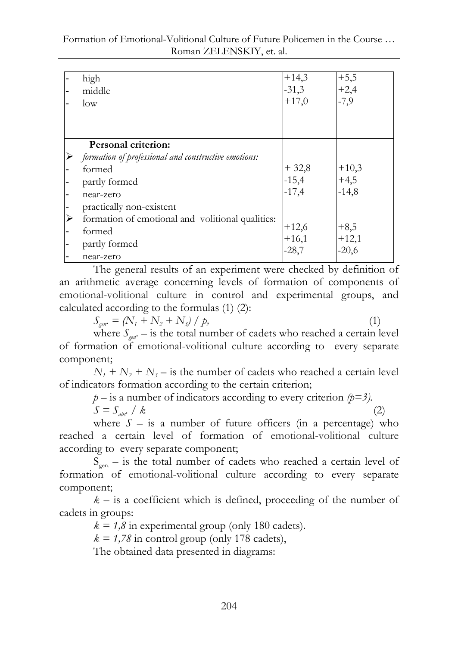| high                                                 | $+14,3$ | $+5,5$  |
|------------------------------------------------------|---------|---------|
| middle                                               | $-31,3$ | $+2,4$  |
| low                                                  | $+17,0$ | $-7,9$  |
|                                                      |         |         |
|                                                      |         |         |
|                                                      |         |         |
| Personal criterion:                                  |         |         |
| formation of professional and constructive emotions: |         |         |
| formed                                               | $+32,8$ | $+10,3$ |
| partly formed                                        | $-15,4$ | $+4,5$  |
| near-zero                                            | $-17,4$ | $-14,8$ |
| practically non-existent                             |         |         |
| formation of emotional and volitional qualities:     |         |         |
| formed                                               | $+12,6$ | $+8,5$  |
| partly formed                                        | $+16,1$ | $+12,1$ |
| near-zero                                            | $-28,7$ | $-20,6$ |

The general results of an experiment were checked by definition of an arithmetic average concerning levels of formation of components of emotional-volitional culture in control and experimental groups, and calculated according to the formulas (1) (2):

 $S_{\text{gen}} = (N_1 + N_2 + N_3) / p$ , (1)

where  $S_{\text{env}}$  – is the total number of cadets who reached a certain level of formation of emotional-volitional culture according to every separate component;

 $N_1 + N_2 + N_3$  – is the number of cadets who reached a certain level of indicators formation according to the certain criterion;

 $p -$  is a number of indicators according to every criterion  $(p=3)$ .  $S = S_{abc} / k$  (2)

where  $S -$  is a number of future officers (in a percentage) who reached a certain level of formation of emotional-volitional culture according to every separate component;

 $S_{gen.}$  – is the total number of cadets who reached a certain level of formation of emotional-volitional culture according to every separate component;

 $k -$  is a coefficient which is defined, proceeding of the number of cadets in groups:

 $k = 1.8$  in experimental group (only 180 cadets).

 $k = 1.78$  in control group (only 178 cadets),

The obtained data presented in diagrams: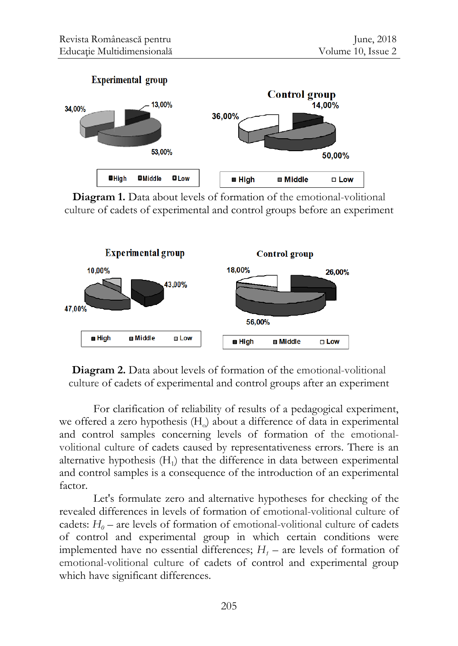

**Diagram 1.** Data about levels of formation of the emotional-volitional culture of cadets of experimental and control groups before an experiment



**Diagram 2.** Data about levels of formation of the emotional-volitional culture of cadets of experimental and control groups after an experiment

For clarification of reliability of results of a pedagogical experiment, we offered a zero hypothesis  $(H<sub>o</sub>)$  about a difference of data in experimental and control samples concerning levels of formation of the emotionalvolitional culture of cadets caused by representativeness errors. There is an alternative hypothesis  $(H_1)$  that the difference in data between experimental and control samples is a consequence of the introduction of an experimental factor.

Let's formulate zero and alternative hypotheses for checking of the revealed differences in levels of formation of emotional-volitional culture of cadets:  $H_0$  – are levels of formation of emotional-volitional culture of cadets of control and experimental group in which certain conditions were implemented have no essential differences;  $H_1$  – are levels of formation of emotional-volitional culture of cadets of control and experimental group which have significant differences.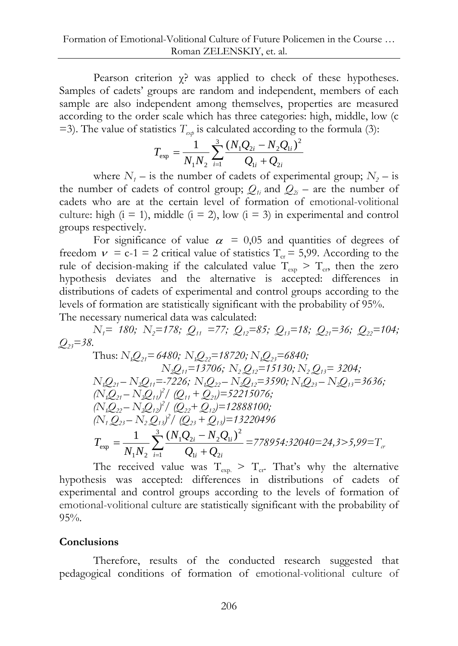Pearson criterion χ? was applied to check of these hypotheses. Samples of cadets' groups are random and independent, members of each sample are also independent among themselves, properties are measured according to the order scale which has three categories: high, middle, low (c  $=$ 3). The value of statistics  $T_{\gamma\gamma}$  is calculated according to the formula (3):

$$
T_{\rm exp} = \frac{1}{N_1 N_2} \sum_{i=1}^{3} \frac{(N_1 Q_{2i} - N_2 Q_{1i})^2}{Q_{1i} + Q_{2i}}
$$

where  $N<sub>1</sub>$  – is the number of cadets of experimental group;  $N<sub>2</sub>$  – is the number of cadets of control group;  $Q_{ij}$  and  $Q_{ij}$  – are the number of cadets who are at the certain level of formation of emotional-volitional culture: high  $(i = 1)$ , middle  $(i = 2)$ , low  $(i = 3)$  in experimental and control groups respectively.

For significance of value  $\alpha = 0.05$  and quantities of degrees of freedom  $v = c-1 = 2$  critical value of statistics  $T_{cr} = 5,99$ . According to the rule of decision-making if the calculated value  $T_{\text{exp}} > T_{\text{cr}}$  then the zero hypothesis deviates and the alternative is accepted: differences in distributions of cadets of experimental and control groups according to the levels of formation are statistically significant with the probability of 95%. The necessary numerical data was calculated:

*N1= 180; N2=178; Q11 =77; Q12=85; Q13=18; Q21=36; Q22=104;*   $Q_{23} = 38.$ 

Thus: 
$$
N_1Q_{21} = 6480
$$
;  $N_1Q_{22} = 18720$ ;  $N_1Q_{23} = 6840$ ;  
\n $N_2Q_{11} = 13706$ ;  $N_2Q_{12} = 15130$ ;  $N_2Q_{13} = 3204$ ;  
\n $N_1Q_{21} - N_2Q_{11} = -7226$ ;  $N_1Q_{22} - N_2Q_{12} = 3590$ ;  $N_1Q_{23} - N_2Q_{13} = 3636$ ;  
\n $(N_1Q_{21} - N_2Q_{11})^2 / (Q_{11} + Q_{21}) = 52215076$ ;  
\n $(N_1Q_{22} - N_2Q_{12})^2 / (Q_{22} + Q_{12}) = 12888100$ ;  
\n $(N_1Q_{23} - N_2Q_{13})^2 / (Q_{23} + Q_{13}) = 13220496$   
\n $T_{exp} = \frac{1}{N_1N_2} \sum_{i=1}^3 \frac{(N_1Q_{2i} - N_2Q_{1i})^2}{Q_{1i} + Q_{2i}} = 778954.32040 = 24,3 > 5,99 = T_\alpha$ 

The received value was  $T_{\text{exp}} > T_{\text{cr}}$ . That's why the alternative hypothesis was accepted: differences in distributions of cadets of experimental and control groups according to the levels of formation of emotional-volitional culture are statistically significant with the probability of 95%.

## **Conclusions**

Therefore, results of the conducted research suggested that pedagogical conditions of formation of emotional-volitional culture of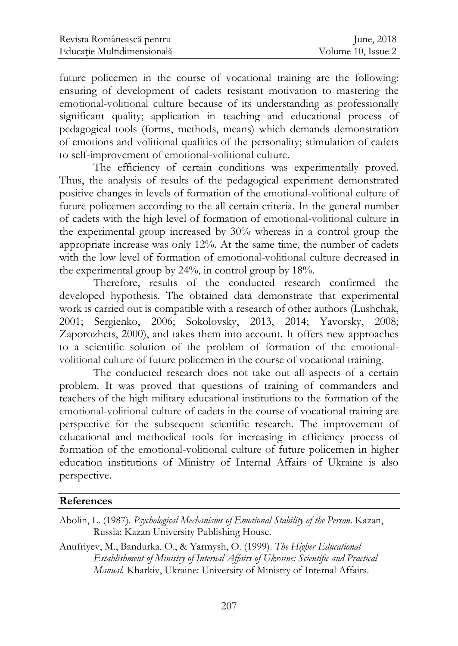future policemen in the course of vocational training are the following: ensuring of development of cadets resistant motivation to mastering the emotional-volitional culture because of its understanding as professionally significant quality; application in teaching and educational process of pedagogical tools (forms, methods, means) which demands demonstration of emotions and volitional qualities of the personality; stimulation of cadets to self-improvement of emotional-volitional culture.

The efficiency of certain conditions was experimentally proved. Thus, the analysis of results of the pedagogical experiment demonstrated positive changes in levels of formation of the emotional-volitional culture of future policemen according to the all certain criteria. In the general number of cadets with the high level of formation of emotional-volitional culture in the experimental group increased by 30% whereas in a control group the appropriate increase was only 12%. At the same time, the number of cadets with the low level of formation of emotional-volitional culture decreased in the experimental group by 24%, in control group by 18%.

Therefore, results of the conducted research confirmed the developed hypothesis. The obtained data demonstrate that experimental work is carried out is compatible with a research of other authors (Lushchak, 2001; Sergienko, 2006; Sokolovsky, 2013, 2014; Yavorsky, 2008; Zaporozhets, 2000), and takes them into account. It offers new approaches to a scientific solution of the problem of formation of the emotionalvolitional culture of future policemen in the course of vocational training.

The conducted research does not take out all aspects of a certain problem. It was proved that questions of training of commanders and teachers of the high military educational institutions to the formation of the emotional-volitional culture of cadets in the course of vocational training are perspective for the subsequent scientific research. The improvement of educational and methodical tools for increasing in efficiency process of formation of the emotional-volitional culture of future policemen in higher education institutions of Ministry of Internal Affairs of Ukraine is also perspective.

## **References**

- Abolin, L. (1987). *Psychological Mechanisms of Emotional Stability of the Person*. Kazan, Russia: Kazan University Publishing House.
- Anufriyev, M., Bandurka, O., & Yarmysh, O. (1999). *The Higher Educational Establishment of Ministry of Internal Affairs of Ukraine: Scientific and Practical Manual*. Kharkiv, Ukraine: University of Ministry of Internal Affairs.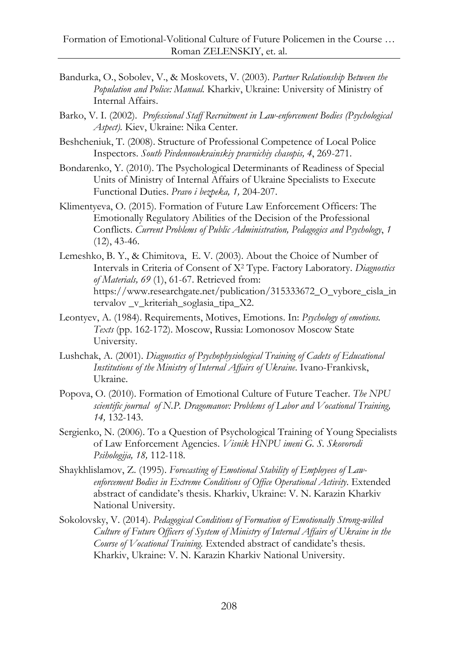- Bandurka, O., Sobolev, V., & Moskovets, V. (2003). *Partner Relationship Between the Population and Police: Manual.* Kharkiv, Ukraine: University of Ministry of Internal Affairs.
- Barko, V. I. (2002). *Professional Staff Recruitment in Law-enforcement Bodies (Psychological Aspect).* Kiev, Ukraine: Nika Center.
- Beshcheniuk, T. (2008). Structure of Professional Competence of Local Police Inspectors. *South Pіvdennoukrainskiy pravnichiy chasopis, 4*, 269-271.
- Bondarenko, Y. (2010). The Psychological Determinants of Readiness of Special Units of Ministry of Internal Affairs of Ukraine Specialists to Execute Functional Duties. *Pravo i bezpeka, 1,* 204-207.
- Klimentyeva, O. (2015). Formation of Future Law Enforcement Officers: The Emotionally Regulatory Abilities of the Decision of the Professional Conflicts. *Current Problems of Public Administration, Pedagogics and Psychology*, *1*  $(12)$ , 43-46.
- Lemeshko, B. Y., & Chimitova, E. V. (2003). About the Choice of Number of Intervals in Criteria of Consent of X<sup>2</sup> Type. Factory Laboratory. *Diagnostics of Materials, 69* (1), 61-67. Retrieved from: https://www.researchgate.net/publication/315333672\_O\_vybore\_cisla\_in tervalov \_v\_kriteriah\_soglasia\_tipa\_X2.
- Leontyev, A. (1984). Requirements, Motives, Emotions. In: *Psychology of emotions. Texts* (pp. 162-172). Moscow, Russia: Lomonosov Moscow State University.
- Lushchak, A. (2001). *Diagnostics of Psychophysiological Training of Cadets of Educational Institutions of the Ministry of Internal Affairs of Ukraine*. Ivano-Frankivsk, Ukraine.
- Popova, O. (2010). Formation of Emotional Culture of Future Teacher. *The NPU scientific journal of N.P. Dragomanov: Problems of Labor and Vocational Training, 14,* 132-143.
- Sergienko, N. (2006). To a Question of Psychological Training of Young Specialists of Law Enforcement Agencies. *Vіsnik HNPU іmenі G. S. Skovorodi Psihologіja, 18,* 112-118.
- Shaykhlislamov, Z. (1995). *Forecasting of Emotional Stability of Employees of Lawenforcement Bodies in Extreme Conditions of Office Operational Activity*. Extended abstract of candidate's thesis. Kharkiv, Ukraine: V. N. Karazin Kharkiv National University.
- Sokolovsky, V. (2014). *Pedagogical Conditions of Formation of Emotionally Strong-willed Culture of Future Officers of System of Ministry of Internal Affairs of Ukraine in the Course of Vocational Training.* Extended abstract of candidate's thesis. Kharkiv, Ukraine: V. N. Karazin Kharkiv National University.